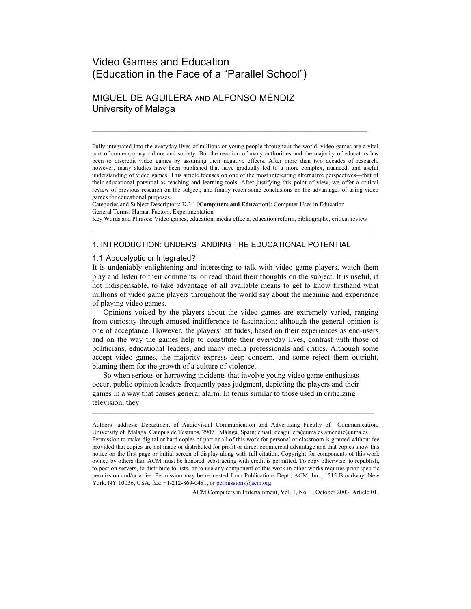# Video Games and Education (Education in the Face of a "Parallel School")

## MIGUEL DE AGUILERA AND ALFONSO MÉNDIZ University of Malaga

Fully integrated into the everyday lives of millions of young people throughout the world, video games are a vital part of contemporary culture and society. But the reaction of many authorities and the majority of educators has been to discredit video games by assuming their negative effects. After more than two decades of research, however, many studies have been published that have gradually led to a more complex, nuanced, and useful understanding of video games. This article focuses on one of the most interesting alternative perspectives—that of their educational potential as teaching and learning tools. After justifying this point of view, we offer a critical review of previous research on the subject; and finally reach some conclusions on the advantages of using video games for educational purposes.

Categories and Subject Descriptors: K.3.1 [**Computers and Education**]: Computer Uses in Education General Terms: Human Factors, Experimentation

Key Words and Phrases: Video games, education, media effects, education reform, bibliography, critical review  $\_$  , and the state of the state of the state of the state of the state of the state of the state of the state of the state of the state of the state of the state of the state of the state of the state of the state of the

## 1. INTRODUCTION: UNDERSTANDING THE EDUCATIONAL POTENTIAL

## 1.1 Apocalyptic or Integrated?

It is undeniably enlightening and interesting to talk with video game players, watch them play and listen to their comments, or read about their thoughts on the subject. It is useful, if not indispensable, to take advantage of all available means to get to know firsthand what millions of video game players throughout the world say about the meaning and experience of playing video games.

Opinions voiced by the players about the video games are extremely varied, ranging from curiosity through amused indifference to fascination; although the general opinion is one of acceptance. However, the players' attitudes, based on their experiences as end-users and on the way the games help to constitute their everyday lives, contrast with those of politicians, educational leaders, and many media professionals and critics. Although some accept video games, the majority express deep concern, and some reject them outright, blaming them for the growth of a culture of violence.

So when serious or harrowing incidents that involve young video game enthusiasts occur, public opinion leaders frequently pass judgment, depicting the players and their games in a way that causes general alarm. In terms similar to those used in criticizing television, they

 $\_$  , and the state of the state of the state of the state of the state of the state of the state of the state of the state of the state of the state of the state of the state of the state of the state of the state of the

ACM Computers in Entertainment, Vol. 1, No. 1, October 2003, Article 01.

Authorsí address: Department of Audiovisual Communication and Advertising Faculty of Communication, University of Malaga, Campus de Testinos, 29071 Málaga, Spain; email: deaguilera@uma.es amendiz@uma.es Permission to make digital or hard copies of part or all of this work for personal or classroom is granted without fee provided that copies are not made or distributed for profit or direct commercial advantage and that copies show this notice on the first page or initial screen of display along with full citation. Copyright for components of this work owned by others than ACM must be honored. Abstracting with credit is permitted. To copy otherwise, to republish, to post on servers, to distribute to lists, or to use any component of this work in other works requires prior specific permission and/or a fee. Permission may be requested from Publications Dept., ACM, Inc., 1515 Broadway, New York, NY 10036, USA, fax: +1-212-869-0481, or permissions@acm.org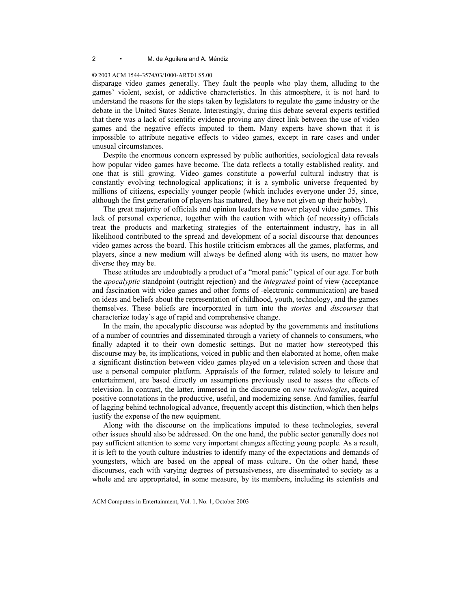#### © 2003 ACM 1544-3574/03/1000-ART01 \$5.00

disparage video games generally. They fault the people who play them, alluding to the gamesí violent, sexist, or addictive characteristics. In this atmosphere, it is not hard to understand the reasons for the steps taken by legislators to regulate the game industry or the debate in the United States Senate. Interestingly, during this debate several experts testified that there was a lack of scientific evidence proving any direct link between the use of video games and the negative effects imputed to them. Many experts have shown that it is impossible to attribute negative effects to video games, except in rare cases and under unusual circumstances.

Despite the enormous concern expressed by public authorities, sociological data reveals how popular video games have become. The data reflects a totally established reality, and one that is still growing. Video games constitute a powerful cultural industry that is constantly evolving technological applications; it is a symbolic universe frequented by millions of citizens, especially younger people (which includes everyone under 35, since, although the first generation of players has matured, they have not given up their hobby).

The great majority of officials and opinion leaders have never played video games. This lack of personal experience, together with the caution with which (of necessity) officials treat the products and marketing strategies of the entertainment industry, has in all likelihood contributed to the spread and development of a social discourse that denounces video games across the board. This hostile criticism embraces all the games, platforms, and players, since a new medium will always be defined along with its users, no matter how diverse they may be.

These attitudes are undoubtedly a product of a "moral panic" typical of our age. For both the *apocalyptic* standpoint (outright rejection) and the *integrated* point of view (acceptance and fascination with video games and other forms of -electronic communication) are based on ideas and beliefs about the representation of childhood, youth, technology, and the games themselves. These beliefs are incorporated in turn into the *stories* and *discourses* that characterize today's age of rapid and comprehensive change.

In the main, the apocalyptic discourse was adopted by the governments and institutions of a number of countries and disseminated through a variety of channels to consumers, who finally adapted it to their own domestic settings. But no matter how stereotyped this discourse may be, its implications, voiced in public and then elaborated at home, often make a significant distinction between video games played on a television screen and those that use a personal computer platform. Appraisals of the former, related solely to leisure and entertainment, are based directly on assumptions previously used to assess the effects of television. In contrast, the latter, immersed in the discourse on *new technologies*, acquired positive connotations in the productive, useful, and modernizing sense. And families, fearful of lagging behind technological advance, frequently accept this distinction, which then helps justify the expense of the new equipment.

Along with the discourse on the implications imputed to these technologies, several other issues should also be addressed. On the one hand, the public sector generally does not pay sufficient attention to some very important changes affecting young people. As a result, it is left to the youth culture industries to identify many of the expectations and demands of youngsters, which are based on the appeal of mass culture.*.* On the other hand, these discourses, each with varying degrees of persuasiveness, are disseminated to society as a whole and are appropriated, in some measure, by its members, including its scientists and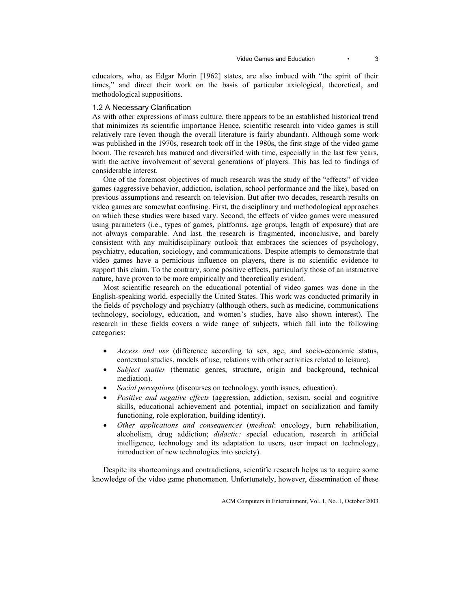educators, who, as Edgar Morin [1962] states, are also imbued with "the spirit of their times," and direct their work on the basis of particular axiological, theoretical, and methodological suppositions.

#### 1.2 A Necessary Clarification

As with other expressions of mass culture, there appears to be an established historical trend that minimizes its scientific importance Hence, scientific research into video games is still relatively rare (even though the overall literature is fairly abundant). Although some work was published in the 1970s, research took off in the 1980s, the first stage of the video game boom. The research has matured and diversified with time, especially in the last few years, with the active involvement of several generations of players. This has led to findings of considerable interest.

One of the foremost objectives of much research was the study of the "effects" of video games (aggressive behavior, addiction, isolation, school performance and the like), based on previous assumptions and research on television. But after two decades, research results on video games are somewhat confusing. First, the disciplinary and methodological approaches on which these studies were based vary. Second, the effects of video games were measured using parameters (i.e., types of games, platforms, age groups, length of exposure) that are not always comparable. And last, the research is fragmented, inconclusive, and barely consistent with any multidisciplinary outlook that embraces the sciences of psychology, psychiatry, education, sociology, and communications. Despite attempts to demonstrate that video games have a pernicious influence on players, there is no scientific evidence to support this claim. To the contrary, some positive effects, particularly those of an instructive nature, have proven to be more empirically and theoretically evident.

Most scientific research on the educational potential of video games was done in the English-speaking world, especially the United States. This work was conducted primarily in the fields of psychology and psychiatry (although others, such as medicine, communications technology, sociology, education, and womenís studies, have also shown interest). The research in these fields covers a wide range of subjects, which fall into the following categories:

- *Access and use* (difference according to sex, age, and socio-economic status, contextual studies, models of use, relations with other activities related to leisure).
- *Subject matter* (thematic genres, structure, origin and background, technical mediation).
- *Social perceptions* (discourses on technology, youth issues, education).
- *Positive and negative effects* (aggression, addiction, sexism, social and cognitive skills, educational achievement and potential, impact on socialization and family functioning, role exploration, building identity).
- *Other applications and consequences* (*medical*: oncology, burn rehabilitation, alcoholism, drug addiction; *didactic:* special education, research in artificial intelligence, technology and its adaptation to users, user impact on technology, introduction of new technologies into society).

Despite its shortcomings and contradictions, scientific research helps us to acquire some knowledge of the video game phenomenon. Unfortunately, however, dissemination of these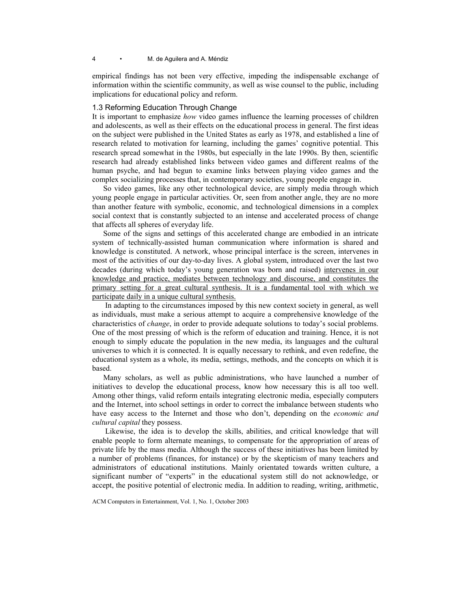empirical findings has not been very effective, impeding the indispensable exchange of information within the scientific community, as well as wise counsel to the public, including implications for educational policy and reform.

#### 1.3 Reforming Education Through Change

It is important to emphasize *how* video games influence the learning processes of children and adolescents, as well as their effects on the educational process in general. The first ideas on the subject were published in the United States as early as 1978, and established a line of research related to motivation for learning, including the games' cognitive potential. This research spread somewhat in the 1980s, but especially in the late 1990s. By then, scientific research had already established links between video games and different realms of the human psyche, and had begun to examine links between playing video games and the complex socializing processes that, in contemporary societies, young people engage in.

So video games, like any other technological device, are simply media through which young people engage in particular activities. Or, seen from another angle, they are no more than another feature with symbolic, economic, and technological dimensions in a complex social context that is constantly subjected to an intense and accelerated process of change that affects all spheres of everyday life.

Some of the signs and settings of this accelerated change are embodied in an intricate system of technically-assisted human communication where information is shared and knowledge is constituted. A network, whose principal interface is the screen, intervenes in most of the activities of our day-to-day lives. A global system, introduced over the last two decades (during which todayís young generation was born and raised) intervenes in our knowledge and practice, mediates between technology and discourse, and constitutes the primary setting for a great cultural synthesis. It is a fundamental tool with which we participate daily in a unique cultural synthesis.

 In adapting to the circumstances imposed by this new context society in general, as well as individuals, must make a serious attempt to acquire a comprehensive knowledge of the characteristics of *change*, in order to provide adequate solutions to today's social problems. One of the most pressing of which is the reform of education and training. Hence, it is not enough to simply educate the population in the new media, its languages and the cultural universes to which it is connected. It is equally necessary to rethink, and even redefine, the educational system as a whole, its media, settings, methods, and the concepts on which it is based.

Many scholars, as well as public administrations, who have launched a number of initiatives to develop the educational process, know how necessary this is all too well. Among other things, valid reform entails integrating electronic media, especially computers and the Internet, into school settings in order to correct the imbalance between students who have easy access to the Internet and those who don't, depending on the *economic and cultural capital* they possess.

 Likewise, the idea is to develop the skills, abilities, and critical knowledge that will enable people to form alternate meanings, to compensate for the appropriation of areas of private life by the mass media. Although the success of these initiatives has been limited by a number of problems (finances, for instance) or by the skepticism of many teachers and administrators of educational institutions. Mainly orientated towards written culture, a significant number of "experts" in the educational system still do not acknowledge, or accept, the positive potential of electronic media. In addition to reading, writing, arithmetic,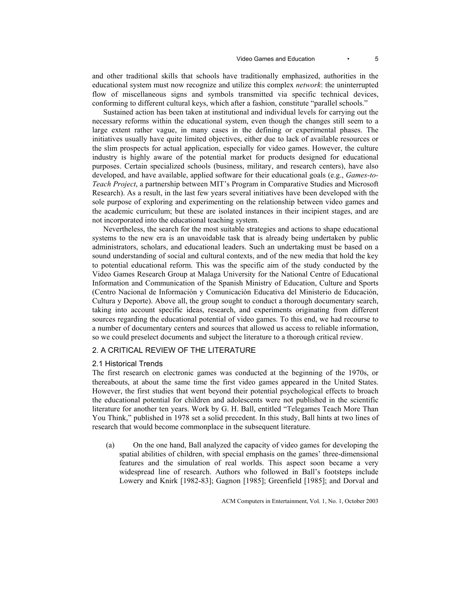and other traditional skills that schools have traditionally emphasized, authorities in the educational system must now recognize and utilize this complex *network*: the uninterrupted flow of miscellaneous signs and symbols transmitted via specific technical devices, conforming to different cultural keys, which after a fashion, constitute "parallel schools."

Sustained action has been taken at institutional and individual levels for carrying out the necessary reforms within the educational system, even though the changes still seem to a large extent rather vague, in many cases in the defining or experimental phases. The initiatives usually have quite limited objectives, either due to lack of available resources or the slim prospects for actual application, especially for video games. However, the culture industry is highly aware of the potential market for products designed for educational purposes. Certain specialized schools (business, military, and research centers), have also developed, and have available, applied software for their educational goals (e.g., *Games-to-*Teach Project, a partnership between MIT's Program in Comparative Studies and Microsoft Research). As a result, in the last few years several initiatives have been developed with the sole purpose of exploring and experimenting on the relationship between video games and the academic curriculum; but these are isolated instances in their incipient stages, and are not incorporated into the educational teaching system.

Nevertheless, the search for the most suitable strategies and actions to shape educational systems to the new era is an unavoidable task that is already being undertaken by public administrators, scholars, and educational leaders. Such an undertaking must be based on a sound understanding of social and cultural contexts, and of the new media that hold the key to potential educational reform. This was the specific aim of the study conducted by the Video Games Research Group at Malaga University for the National Centre of Educational Information and Communication of the Spanish Ministry of Education, Culture and Sports (Centro Nacional de Información y Comunicación Educativa del Ministerio de Educación, Cultura y Deporte). Above all, the group sought to conduct a thorough documentary search, taking into account specific ideas, research, and experiments originating from different sources regarding the educational potential of video games. To this end, we had recourse to a number of documentary centers and sources that allowed us access to reliable information, so we could preselect documents and subject the literature to a thorough critical review.

## 2. A CRITICAL REVIEW OF THE LITERATURE

#### 2.1 Historical Trends

The first research on electronic games was conducted at the beginning of the 1970s, or thereabouts, at about the same time the first video games appeared in the United States. However, the first studies that went beyond their potential psychological effects to broach the educational potential for children and adolescents were not published in the scientific literature for another ten years. Work by G. H. Ball, entitled "Telegames Teach More Than You Think," published in 1978 set a solid precedent. In this study, Ball hints at two lines of research that would become commonplace in the subsequent literature.

(a) On the one hand, Ball analyzed the capacity of video games for developing the spatial abilities of children, with special emphasis on the games' three-dimensional features and the simulation of real worlds. This aspect soon became a very widespread line of research. Authors who followed in Ball's footsteps include Lowery and Knirk [1982-83]; Gagnon [1985]; Greenfield [1985]; and Dorval and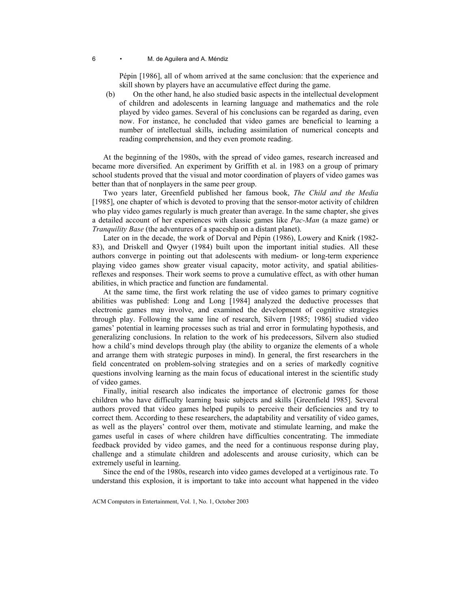Pépin [1986], all of whom arrived at the same conclusion: that the experience and skill shown by players have an accumulative effect during the game.

(b) On the other hand, he also studied basic aspects in the intellectual development of children and adolescents in learning language and mathematics and the role played by video games. Several of his conclusions can be regarded as daring, even now. For instance, he concluded that video games are beneficial to learning a number of intellectual skills, including assimilation of numerical concepts and reading comprehension, and they even promote reading.

At the beginning of the 1980s, with the spread of video games, research increased and became more diversified. An experiment by Griffith et al. in 1983 on a group of primary school students proved that the visual and motor coordination of players of video games was better than that of nonplayers in the same peer group.

Two years later, Greenfield published her famous book, *The Child and the Media* [1985], one chapter of which is devoted to proving that the sensor-motor activity of children who play video games regularly is much greater than average. In the same chapter, she gives a detailed account of her experiences with classic games like *Pac-Man* (a maze game) or *Tranquility Base* (the adventures of a spaceship on a distant planet).

Later on in the decade, the work of Dorval and PÈpin (1986), Lowery and Knirk (1982- 83), and Driskell and Qwyer (1984) built upon the important initial studies. All these authors converge in pointing out that adolescents with medium- or long-term experience playing video games show greater visual capacity, motor activity, and spatial abilitiesreflexes and responses. Their work seems to prove a cumulative effect, as with other human abilities, in which practice and function are fundamental.

At the same time, the first work relating the use of video games to primary cognitive abilities was published: Long and Long [1984] analyzed the deductive processes that electronic games may involve, and examined the development of cognitive strategies through play. Following the same line of research, Silvern [1985; 1986] studied video games' potential in learning processes such as trial and error in formulating hypothesis, and generalizing conclusions. In relation to the work of his predecessors, Silvern also studied how a child's mind develops through play (the ability to organize the elements of a whole and arrange them with strategic purposes in mind). In general, the first researchers in the field concentrated on problem-solving strategies and on a series of markedly cognitive questions involving learning as the main focus of educational interest in the scientific study of video games.

Finally, initial research also indicates the importance of electronic games for those children who have difficulty learning basic subjects and skills [Greenfield 1985]. Several authors proved that video games helped pupils to perceive their deficiencies and try to correct them. According to these researchers, the adaptability and versatility of video games, as well as the players' control over them, motivate and stimulate learning, and make the games useful in cases of where children have difficulties concentrating. The immediate feedback provided by video games, and the need for a continuous response during play, challenge and a stimulate children and adolescents and arouse curiosity, which can be extremely useful in learning.

Since the end of the 1980s, research into video games developed at a vertiginous rate. To understand this explosion, it is important to take into account what happened in the video

ACM Computers in Entertainment, Vol. 1, No. 1, October 2003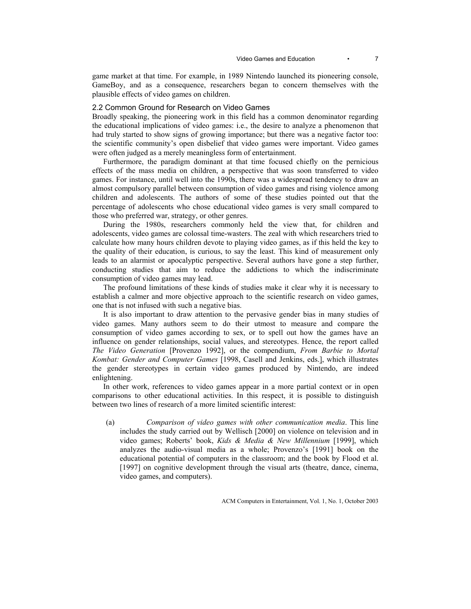game market at that time. For example, in 1989 Nintendo launched its pioneering console, GameBoy, and as a consequence, researchers began to concern themselves with the plausible effects of video games on children.

### 2.2 Common Ground for Research on Video Games

Broadly speaking, the pioneering work in this field has a common denominator regarding the educational implications of video games: i.e., the desire to analyze a phenomenon that had truly started to show signs of growing importance; but there was a negative factor too: the scientific community's open disbelief that video games were important. Video games were often judged as a merely meaningless form of entertainment.

Furthermore, the paradigm dominant at that time focused chiefly on the pernicious effects of the mass media on children, a perspective that was soon transferred to video games. For instance, until well into the 1990s, there was a widespread tendency to draw an almost compulsory parallel between consumption of video games and rising violence among children and adolescents. The authors of some of these studies pointed out that the percentage of adolescents who chose educational video games is very small compared to those who preferred war, strategy, or other genres.

During the 1980s, researchers commonly held the view that, for children and adolescents, video games are colossal time-wasters. The zeal with which researchers tried to calculate how many hours children devote to playing video games, as if this held the key to the quality of their education, is curious, to say the least. This kind of measurement only leads to an alarmist or apocalyptic perspective. Several authors have gone a step further, conducting studies that aim to reduce the addictions to which the indiscriminate consumption of video games may lead.

The profound limitations of these kinds of studies make it clear why it is necessary to establish a calmer and more objective approach to the scientific research on video games, one that is not infused with such a negative bias.

It is also important to draw attention to the pervasive gender bias in many studies of video games. Many authors seem to do their utmost to measure and compare the consumption of video games according to sex, or to spell out how the games have an influence on gender relationships, social values, and stereotypes. Hence, the report called *The Video Generation* [Provenzo 1992], or the compendium, *From Barbie to Mortal Kombat: Gender and Computer Games* [1998, Casell and Jenkins, eds.], which illustrates the gender stereotypes in certain video games produced by Nintendo, are indeed enlightening.

In other work, references to video games appear in a more partial context or in open comparisons to other educational activities. In this respect, it is possible to distinguish between two lines of research of a more limited scientific interest:

(a) *Comparison of video games with other communication media*. This line includes the study carried out by Wellisch [2000] on violence on television and in video games; Roberts' book, *Kids & Media & New Millennium* [1999], which analyzes the audio-visual media as a whole; Provenzo's [1991] book on the educational potential of computers in the classroom; and the book by Flood et al. [1997] on cognitive development through the visual arts (theatre, dance, cinema, video games, and computers).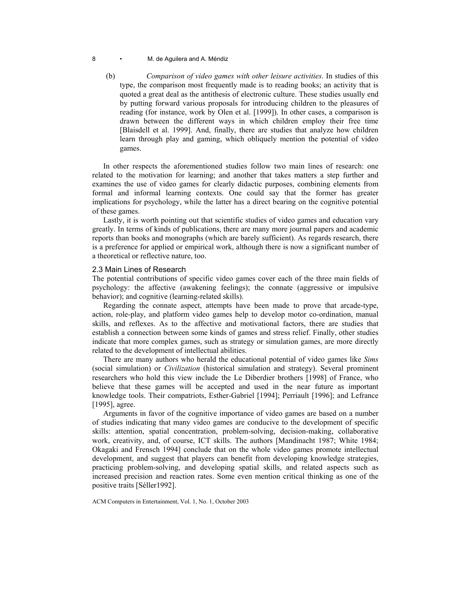(b) *Comparison of video games with other leisure activities*. In studies of this type, the comparison most frequently made is to reading books; an activity that is quoted a great deal as the antithesis of electronic culture. These studies usually end by putting forward various proposals for introducing children to the pleasures of reading (for instance, work by Olen et al. [1999]). In other cases, a comparison is drawn between the different ways in which children employ their free time [Blaisdell et al. 1999]. And, finally, there are studies that analyze how children learn through play and gaming, which obliquely mention the potential of video games.

In other respects the aforementioned studies follow two main lines of research: one related to the motivation for learning; and another that takes matters a step further and examines the use of video games for clearly didactic purposes, combining elements from formal and informal learning contexts. One could say that the former has greater implications for psychology, while the latter has a direct bearing on the cognitive potential of these games.

Lastly, it is worth pointing out that scientific studies of video games and education vary greatly. In terms of kinds of publications, there are many more journal papers and academic reports than books and monographs (which are barely sufficient). As regards research, there is a preference for applied or empirical work, although there is now a significant number of a theoretical or reflective nature, too.

#### 2.3 Main Lines of Research

The potential contributions of specific video games cover each of the three main fields of psychology: the affective (awakening feelings); the connate (aggressive or impulsive behavior); and cognitive (learning-related skills).

Regarding the connate aspect, attempts have been made to prove that arcade-type, action, role-play, and platform video games help to develop motor co-ordination, manual skills, and reflexes. As to the affective and motivational factors, there are studies that establish a connection between some kinds of games and stress relief. Finally, other studies indicate that more complex games, such as strategy or simulation games, are more directly related to the development of intellectual abilities.

There are many authors who herald the educational potential of video games like *Sims* (social simulation) or *Civilization* (historical simulation and strategy). Several prominent researchers who hold this view include the Le Diberdier brothers [1998] of France, who believe that these games will be accepted and used in the near future as important knowledge tools. Their compatriots, Esther-Gabriel [1994]; Perriault [1996]; and Lefrance [1995], agree.

Arguments in favor of the cognitive importance of video games are based on a number of studies indicating that many video games are conducive to the development of specific skills: attention, spatial concentration, problem-solving, decision-making, collaborative work, creativity, and, of course, ICT skills. The authors [Mandinacht 1987; White 1984; Okagaki and Frensch 1994] conclude that on the whole video games promote intellectual development, and suggest that players can benefit from developing knowledge strategies, practicing problem-solving, and developing spatial skills, and related aspects such as increased precision and reaction rates. Some even mention critical thinking as one of the positive traits [SÈller1992].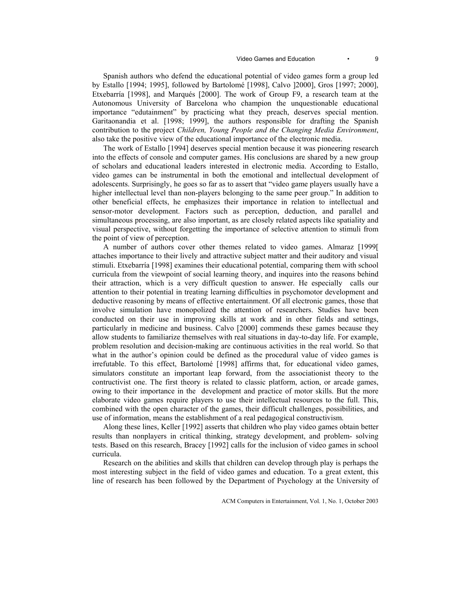Spanish authors who defend the educational potential of video games form a group led by Estallo [1994; 1995], followed by BartolomÈ [1998], Calvo ]2000], Gros [1997; 2000], Etxebarría [1998], and Marqués [2000]. The work of Group F9, a research team at the Autonomous University of Barcelona who champion the unquestionable educational importance "edutainment" by practicing what they preach, deserves special mention. Garitaonandia et al. [1998; 1999], the authors responsible for drafting the Spanish contribution to the project *Children, Young People and the Changing Media Environment*, also take the positive view of the educational importance of the electronic media.

The work of Estallo [1994] deserves special mention because it was pioneering research into the effects of console and computer games. His conclusions are shared by a new group of scholars and educational leaders interested in electronic media. According to Estallo, video games can be instrumental in both the emotional and intellectual development of adolescents. Surprisingly, he goes so far as to assert that "video game players usually have a higher intellectual level than non-players belonging to the same peer group." In addition to other beneficial effects, he emphasizes their importance in relation to intellectual and sensor-motor development. Factors such as perception, deduction, and parallel and simultaneous processing, are also important, as are closely related aspects like spatiality and visual perspective, without forgetting the importance of selective attention to stimuli from the point of view of perception.

A number of authors cover other themes related to video games. Almaraz [1999[ attaches importance to their lively and attractive subject matter and their auditory and visual stimuli. Etxebarría [1998] examines their educational potential, comparing them with school curricula from the viewpoint of social learning theory, and inquires into the reasons behind their attraction, which is a very difficult question to answer. He especially calls our attention to their potential in treating learning difficulties in psychomotor development and deductive reasoning by means of effective entertainment. Of all electronic games, those that involve simulation have monopolized the attention of researchers. Studies have been conducted on their use in improving skills at work and in other fields and settings, particularly in medicine and business. Calvo [2000] commends these games because they allow students to familiarize themselves with real situations in day-to-day life. For example, problem resolution and decision-making are continuous activities in the real world. So that what in the author's opinion could be defined as the procedural value of video games is irrefutable. To this effect, Bartolomé [1998] affirms that, for educational video games, simulators constitute an important leap forward, from the associationist theory to the contructivist one. The first theory is related to classic platform, action, or arcade games, owing to their importance in the development and practice of motor skills. But the more elaborate video games require players to use their intellectual resources to the full. This, combined with the open character of the games, their difficult challenges, possibilities, and use of information, means the establishment of a real pedagogical constructivism.

Along these lines, Keller [1992] asserts that children who play video games obtain better results than nonplayers in critical thinking, strategy development, and problem- solving tests. Based on this research, Bracey [1992] calls for the inclusion of video games in school curricula.

Research on the abilities and skills that children can develop through play is perhaps the most interesting subject in the field of video games and education. To a great extent, this line of research has been followed by the Department of Psychology at the University of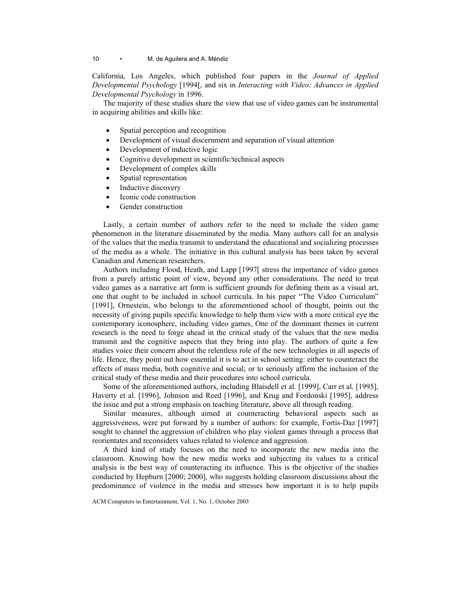California, Los Angeles, which published four papers in the *Journal of Applied Developmental Psychology* [1994[, and six in *Interacting with Video: Advances in Applied Developmental Psychology* in 1996.

The majority of these studies share the view that use of video games can be instrumental in acquiring abilities and skills like:

- Spatial perception and recognition
- Development of visual discernment and separation of visual attention
- Development of inductive logic
- Cognitive development in scientific/technical aspects
- Development of complex skills
- Spatial representation
- Inductive discovery
- Iconic code construction
- Gender construction

Lastly, a certain number of authors refer to the need to include the video game phenomenon in the literature disseminated by the media. Many authors call for an analysis of the values that the media transmit to understand the educational and socializing processes of the media as a whole. The initiative in this cultural analysis has been taken by several Canadian and American researchers.

Authors including Flood, Heath, and Lapp [1997[ stress the importance of video games from a purely artistic point of view, beyond any other considerations. The need to treat video games as a narrative art form is sufficient grounds for defining them as a visual art, one that ought to be included in school curricula. In his paper "The Video Curriculum" [1991], Ornestein, who belongs to the aforementioned school of thought, points out the necessity of giving pupils specific knowledge to help them view with a more critical eye the contemporary iconosphere, including video games, One of the dominant themes in current research is the need to forge ahead in the critical study of the values that the new media transmit and the cognitive aspects that they bring into play. The authors of quite a few studies voice their concern about the relentless role of the new technologies in all aspects of life. Hence, they point out how essential it is to act in school setting: either to counteract the effects of mass media, both cognitive and social; or to seriously affirm the inclusion of the critical study of these media and their procedures into school curricula.

Some of the aforementioned authors, including Blaisdell et al. [1999], Carr et al. [1995], Haverty et al. [1996], Johnson and Reed [1996], and Krug and Fordonski [1995], address the issue and put a strong emphasis on teaching literature, above all through reading.

Similar measures, although aimed at counteracting behavioral aspects such as aggressiveness, were put forward by a number of authors: for example, Fortis-Daz [1997] sought to channel the aggression of children who play violent games through a process that reorientates and reconsiders values related to violence and aggression.

A third kind of study focuses on the need to incorporate the new media into the classroom. Knowing how the new media works and subjecting its values to a critical analysis is the best way of counteracting its influence. This is the objective of the studies conducted by Hepburn [2000; 2000], who suggests holding classroom discussions about the predominance of violence in the media and stresses how important it is to help pupils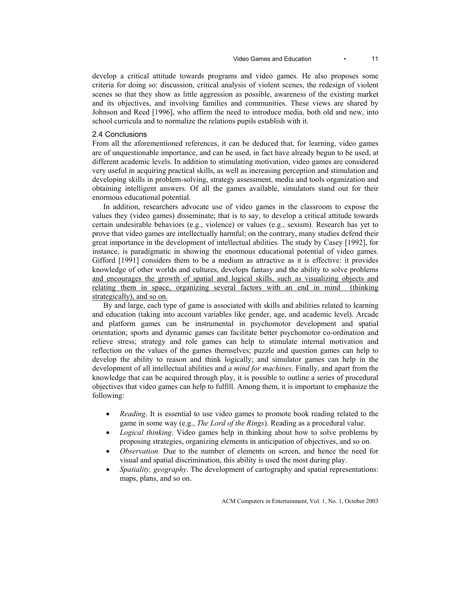develop a critical attitude towards programs and video games. He also proposes some criteria for doing so: discussion, critical analysis of violent scenes, the redesign of violent scenes so that they show as little aggression as possible, awareness of the existing market and its objectives, and involving families and communities. These views are shared by Johnson and Reed [1996], who affirm the need to introduce media, both old and new, into school curricula and to normalize the relations pupils establish with it.

## 2.4 Conclusions

From all the aforementioned references, it can be deduced that, for learning, video games are of unquestionable importance, and can be used, in fact have already begun to be used, at different academic levels. In addition to stimulating motivation, video games are considered very useful in acquiring practical skills, as well as increasing perception and stimulation and developing skills in problem-solving, strategy assessment, media and tools organization and obtaining intelligent answers. Of all the games available, simulators stand out for their enormous educational potential.

In addition, researchers advocate use of video games in the classroom to expose the values they (video games) disseminate; that is to say, to develop a critical attitude towards certain undesirable behaviors (e.g., violence) or values (e.g., sexism). Research has yet to prove that video games are intellectually harmful; on the contrary, many studies defend their great importance in the development of intellectual abilities. The study by Casey [1992], for instance, is paradigmatic in showing the enormous educational potential of video games. Gifford [1991] considers them to be a medium as attractive as it is effective: it provides knowledge of other worlds and cultures, develops fantasy and the ability to solve problems and encourages the growth of spatial and logical skills, such as visualizing objects and relating them in space, organizing several factors with an end in mind (thinking strategically), and so on.

By and large, each type of game is associated with skills and abilities related to learning and education (taking into account variables like gender, age, and academic level). Arcade and platform games can be instrumental in psychomotor development and spatial orientation; sports and dynamic games can facilitate better psychomotor co-ordination and relieve stress; strategy and role games can help to stimulate internal motivation and reflection on the values of the games themselves; puzzle and question games can help to develop the ability to reason and think logically; and simulator games can help in the development of all intellectual abilities and *a mind for machines*. Finally, and apart from the knowledge that can be acquired through play, it is possible to outline a series of procedural objectives that video games can help to fulfill. Among them, it is important to emphasize the following:

- *Reading*. It is essential to use video games to promote book reading related to the game in some way (e.g., *The Lord of the Rings*). Reading as a procedural value.
- *Logical thinking*. Video games help in thinking about how to solve problems by proposing strategies, organizing elements in anticipation of objectives, and so on.
- *Observation.* Due to the number of elements on screen, and hence the need for visual and spatial discrimination, this ability is used the most during play.
- *Spatiality, geography*. The development of cartography and spatial representations: maps, plans, and so on.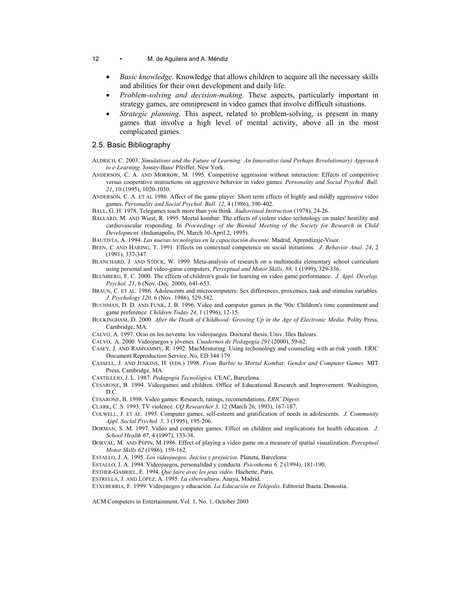- *Basic knowledge*. Knowledge that allows children to acquire all the necessary skills and abilities for their own development and daily life.
- *Problem-solving and decision-making.* These aspects, particularly important in strategy games, are omnipresent in video games that involve difficult situations.
- *Strategic planning*. This aspect, related to problem-solving, is present in many games that involve a high level of mental activity, above all in the most complicated games.

#### 2.5. Basic Bibliography

- ALDRICH, C. 2003. *Simulations and the Future of Learning: An Innovative (and Perhaps Revolutionary) Approach to e-Learning*. Jossey-Bass/ Pfeiffer, New York.
- ANDERSON, C. A. AND MORROW, M. 1995. Competitive aggression without interaction: Effects of competitive versus cooperative instructions on aggressive behavior in video games. *Personality and Social Psychol. Bull. 21*, 10 (1995), 1020-1030.
- ANDERSON, C. A. ET AL 1986. Affect of the game player: Short term effects of highly and mildly aggressive video games. *Personality and Social Psychol. Bull. 12*, 4 (1986), 390-402.
- BALL, G. H. 1978. Telegames teach more than you think. *Audiovisual Instruction* (1978), 24-26.
- BALLARD, M. AND Wiest, R. 1995. Mortal kombat: The effects of violent video technology on males' hostility and cardiovascular responding. In *Proceedings of the Biennal Meeting of the Society for Research in Child Development*. (Indianapolis, IN, March 30-April 2, 1995).
- BAUTISTA, A. 1994. *Las nuevas tecnologías en la capacitación docente*. Madrid, Aprendizaje-Visor.
- BEEN, C AND HARING, T. 1991. Effects on contextual competence on social initiations. *J. Behavior Anal. 24*, 2 (1991), 337-347.
- BLANCHARD, J. AND STOCK, W. 1999. Meta-analysis of research on a multimedia elementary school curriculum using personal and video-game computers. *Perceptual and Motor Skills*. *88,* 1 (1999), 329-336.
- BLUMBERG, F. C. 2000. The effects of children's goals for learning on video game performance. *J. Appl. Develop. Psychol. 21*, 6 (Nov.-Dec. 2000), 641-653.
- BRAUN, C. ET AL*.* 1986. Adolescents and microcomputers: Sex differences, proxemics, task and stimulus variables. *J. Psychology 120,* 6 (Nov. 1986), 529-542.
- BUCHMAN, D. D. AND FUNK, J. B. 1996. Video and computer games in the '90s: Children's time commitment and game preference. *Children Today 24*, 1 (1996), 12-15.
- BUCKINGHAM, D. 2000. *After the Death of Childhood: Growing Up in the Age of Electronic Media*. Polity Press, Cambridge, MA.
- CALVO, A. 1997. Ocio en los noventa: los videojuegos. Doctoral thesis, Univ. Illes Balears.
- CALVO, A. 2000. Videojuegos y jóvenes. *Cuadernos de Pedagogía 291* (2000), 59-62.
- CASEY, J. AND RAMSAMMY, R. 1992. MacMentoring: Using techonology and counseling with at-risk youth. ERIC Document Reproduction Service. No, ED 344 179.
- CASSELL, J. AND JENKINS, H. (EDS.) 1998. *From Barbie to Mortal Kombat: Gender and Computer Games.* MIT Press, Cambridge, MA.
- CASTILLEJO, J. L. 1987. Pedagogía Tecnológica. CEAC, Barcelona.
- CESARONE, B. 1994. Videogames and children. Office of Educational Research and Improvement. Washington, D.C.
- CESARONE, B. 1998. Video games: Research, ratings, recomendations, *ERIC Digest*.
- CLARK, C .S. 1993. TV violence. *CQ Researcher 3,* 12 (March 26, 1993), 167-187.
- COLWELL, J. ET AL. 1995. Computer games, self-esteem and gratification of needs in adolescents. *J. Community Appl. Social Psychol. 5,* 3 (1995), 195-206.
- DORMAN, S. M. 1997. Video and computer games: Effect on children and implications for health education. *J. School Health 67*, 4 (1997), 133-38.
- DORVAL, M. AND PÉPIN, M.1986. Effect of playing a video game on a measure of spatial visualization. *Perceptual Motor Skills 62* (1986), 159-162.
- ESTALLO, J. A. 1995. *Los videojuegos. Juicios y prejuicios*. Planeta, Barcelona:
- ESTALLO, J. A. 1994. Videojuegos, personalidad y conducta. *Psicothema 6,* 2 (1994), 181-190.
- ESTHER-GABRIEL, E. 1994. *Que faire avec les jeux vidéo*. Hachette, Paris.
- ESTRELLA, J. AND LÓPEZ, A. 1995. La cibercultura. Anaya, Madrid.

ETXEBERRIA, F. 1999. Videojuegos y educación. *La Educación en Telépolis*. Editorial Ibaeta. Donostia.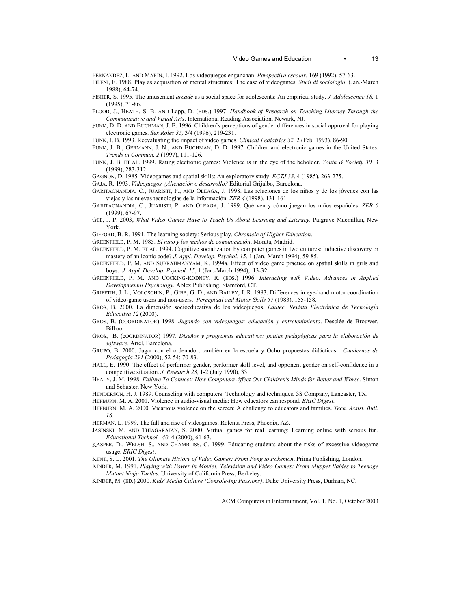FERNANDEZ, L. AND MARIN, I. 1992. Los videojuegos enganchan. *Perspectiva escolar.* 169 (1992), 57-63.

- FILENI, F. 1988. Play as acquisition of mental structures: The case of videogames. *Studi di sociologia*. (Jan.-March 1988), 64-74.
- FISHER, S. 1995. The amusement *arcade* as a social space for adolescents: An empirical study. *J. Adolescence 18,* 1 (1995), 71-86.
- FLOOD, J., HEATH, S. B. AND Lapp, D. (EDS.) 1997. *Handbook of Research on Teaching Literacy Through the Communicative and Visual Arts*. International Reading Association, Newark, NJ.
- FUNK, D. D. AND BUCHMAN, J. B. 1996. Children's perceptions of gender differences in social approval for playing electronic games. *Sex Roles 35,* 3/4 (1996), 219-231.
- FUNK, J. B. 1993. Reevaluating the impact of video games. *Clinical Pediatrics 32,* 2 (Feb. 1993), 86-90.
- FUNK, J. B., GERMANN, J. N., AND BUCHMAN, D. D. 1997. Children and electronic games in the United States. *Trends in Commun. 2* (1997), 111-126.
- FUNK, J. B. ET AL. 1999. Rating electronic games: Violence is in the eye of the beholder. *Youth & Society 30,* 3 (1999), 283-312.
- GAGNON, D. 1985. Videogames and spatial skills: An exploratory study. *ECTJ 33*, 4 (1985), 263-275.

GAJA, R. 1993. *Videojuegos ¿Alienación o desarrollo?* Editorial Grijalbo, Barcelona.

- GARITAONANDIA, C., JUARISTI, P., AND OLEAGA, J. 1998. Las relaciones de los niños y de los jóvenes con las viejas y las nuevas tecnologías de la información. *ZER 4* (1998), 131-161.
- GARITAONANDIA, C., JUARISTI, P. AND OLEAGA, J. 1999. Qué ven y cómo juegan los niños españoles. *ZER 6* (1999), 67-97.
- GEE, J. P. 2003, *What Video Games Have to Teach Us About Learning and Literacy*. Palgrave Macmillan, New York.

GIFFORD, B. R. 1991. The learning society: Serious play. *Chronicle of Higher Education*.

- GREENFIELD, P. M. 1985. *El niño y los medios de comunicación*. Morata, Madrid.
- GREENFIELD, P. M. ET AL. 1994. Cognitive socialization by computer games in two cultures: Inductive discovery or mastery of an iconic code? *J. Appl. Develop. Psychol. 15*, 1 (Jan.-March 1994), 59-85.
- GREENFIELD, P. M. AND SUBRAHMANYAM, K. 1994a. Effect of video game practice on spatial skills in girls and boys. *J. Appl. Develop. Psychol. 15*, 1 (Jan.-March 1994), 13-32.
- GREENFIELD, P. M. AND COCKING-RODNEY, R. (EDS.) 1996. *Interacting with Video. Advances in Applied Developmental Psychology.* Ablex Publishing, Stamford, CT.
- GRIFFTIH, J. L., VOLOSCHIN, P., GIBB, G. D., AND BAILEY, J. R. 1983. Differences in eye-hand motor coordination of video-game users and non-users. *Perceptual and Motor Skills 57* (1983), 155-158.
- GROS, B. 2000. La dimensión socioeducativa de los videojuegos. Edutec. Revista Electrónica de Tecnología *Educativa 12* (2000).
- GROS, B. (COORDINATOR) 1998. *Jugando con videojuegos: educación y entretenimiento*. Desclée de Brouwer, Bilbao.
- GROS, B. (cOORDINATOR) 1997. *Diseños y programas educativos: pautas pedagógicas para la elaboración de software*. Ariel, Barcelona.
- GRUPO, B. 2000. Jugar con el ordenador, también en la escuela y Ocho propuestas didácticas. *Cuadernos de PedagogÌa 291* (2000), 52-54; 70-83.
- HALL, E. 1990. The effect of performer gender, performer skill level, and opponent gender on self-confidence in a competitive situation. *J. Research 23,* 1-2 (July 1990), 33.
- HEALY, J. M. 1998. *Failure To Connect: How Computers Affect Our Children's Minds for Better and Worse*. Simon and Schuster. New York.
- HENDERSON, H. J. 1989. Counseling with computers: Technology and techniques*.* 3S Company, Lancaster, TX.
- HEPBURN, M. A. 2001. Violence in audio-visual media: How educators can respond. *ERIC Digest*.
- HEPBURN, M. A. 2000. Vicarious violence on the screen: A challenge to educators and families. *Tech. Assist. Bull. 16*.

HERMAN, L. 1999. The fall and rise of videogames. Rolenta Press, Phoenix, AZ.

- JASINSKI, M. AND THIAGARAJAN, S. 2000. Virtual games for real learning: Learning online with serious fun. *Educational Technol. 40,* 4 (2000), 61-63.
- KASPER, D., WELSH, S., AND CHAMBLISS, C. 1999. Educating students about the risks of excessive videogame usage. *ERIC Digest*.

KENT, S. L. 2001. *The Ultimate History of Video Games: From Pong to Pokemon*. Prima Publishing, London.

KINDER, M. 1991. *Playing with Power in Movies, Television and Video Games: From Muppet Babies to Teenage Mutant Ninja Turtles*. University of California Press, Berkeley.

KINDER, M. (ED.) 2000. *Kids' Media Culture (Console-Ing Passions)*. Duke University Press, Durham, NC.